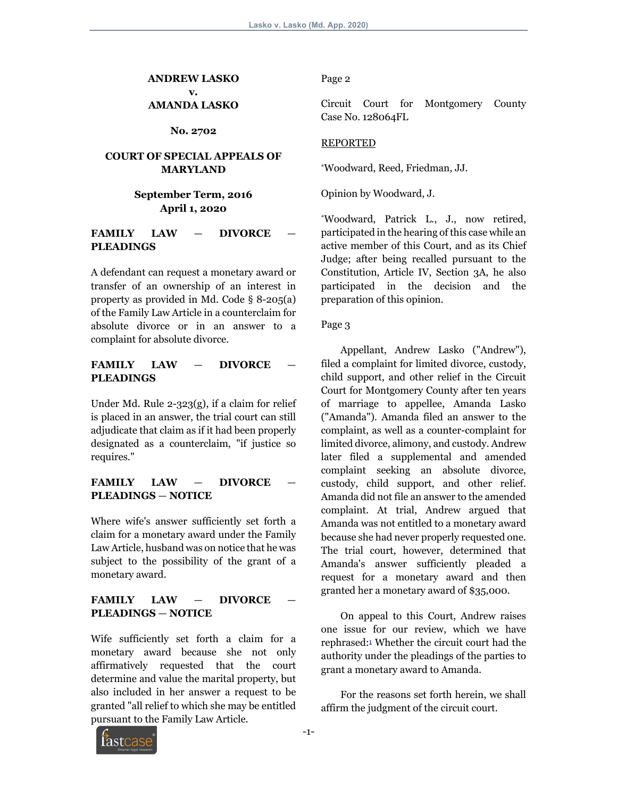**ANDREW LASKO v. AMANDA LASKO**

**No. 2702**

## **COURT OF SPECIAL APPEALS OF MARYLAND**

## **September Term, 2016 April 1, 2020**

### FAMILY LAW - DIVORCE **PLEADINGS**

A defendant can request a monetary award or transfer of an ownership of an interest in property as provided in Md. Code § 8-205(a) of the Family Law Article in a counterclaim for absolute divorce or in an answer to a complaint for absolute divorce.

## FAMILY LAW - DIVORCE **PLEADINGS**

Under Md. Rule 2-323(g), if a claim for relief is placed in an answer, the trial court can still adjudicate that claim as if it had been properly designated as a counterclaim, "if justice so requires."

## FAMILY LAW — **DIVORCE PLEADINGS** — **NOTICE**

Where wife's answer sufficiently set forth a claim for a monetary award under the Family Law Article, husband was on notice that he was subject to the possibility of the grant of a monetary award.

## FAMILY LAW - DIVORCE **PLEADINGS** — **NOTICE**

Wife sufficiently set forth a claim for a monetary award because she not only affirmatively requested that the court determine and value the marital property, but also included in her answer a request to be granted "all relief to which she may be entitled pursuant to the Family Law Article.

Page 2

Circuit Court for Montgomery County Case No. 128064FL

### REPORTED

\*Woodward, Reed, Friedman, JJ.

Opinion by Woodward, J.

\*Woodward, Patrick L., J., now retired, participated in the hearing of this case while an active member of this Court, and as its Chief Judge; after being recalled pursuant to the Constitution, Article IV, Section 3A, he also participated in the decision and the preparation of this opinion.

### Page 3

 Appellant, Andrew Lasko ("Andrew"), filed a complaint for limited divorce, custody, child support, and other relief in the Circuit Court for Montgomery County after ten years of marriage to appellee, Amanda Lasko ("Amanda"). Amanda filed an answer to the complaint, as well as a counter-complaint for limited divorce, alimony, and custody. Andrew later filed a supplemental and amended complaint seeking an absolute divorce, custody, child support, and other relief. Amanda did not file an answer to the amended complaint. At trial, Andrew argued that Amanda was not entitled to a monetary award because she had never properly requested one. The trial court, however, determined that Amanda's answer sufficiently pleaded a request for a monetary award and then granted her a monetary award of \$35,000.

 On appeal to this Court, Andrew raises one issue for our review, which we have rephrased:1 Whether the circuit court had the authority under the pleadings of the parties to grant a monetary award to Amanda.

 For the reasons set forth herein, we shall affirm the judgment of the circuit court.

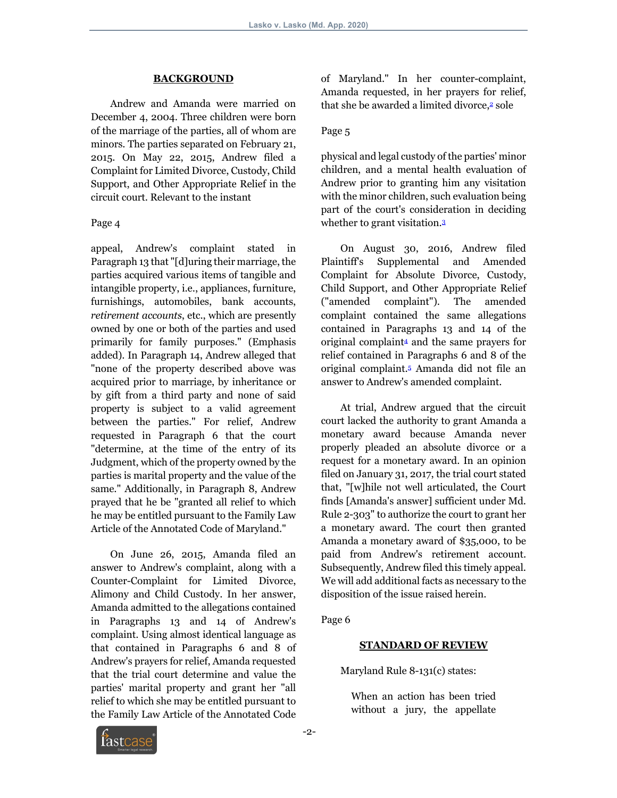#### **BACKGROUND**

 Andrew and Amanda were married on December 4, 2004. Three children were born of the marriage of the parties, all of whom are minors. The parties separated on February 21, 2015. On May 22, 2015, Andrew filed a Complaint for Limited Divorce, Custody, Child Support, and Other Appropriate Relief in the circuit court. Relevant to the instant

#### Page 4

appeal, Andrew's complaint stated in Paragraph 13 that "[d]uring their marriage, the parties acquired various items of tangible and intangible property, i.e., appliances, furniture, furnishings, automobiles, bank accounts, *retirement accounts*, etc., which are presently owned by one or both of the parties and used primarily for family purposes." (Emphasis added). In Paragraph 14, Andrew alleged that "none of the property described above was acquired prior to marriage, by inheritance or by gift from a third party and none of said property is subject to a valid agreement between the parties." For relief, Andrew requested in Paragraph 6 that the court "determine, at the time of the entry of its Judgment, which of the property owned by the parties is marital property and the value of the same." Additionally, in Paragraph 8, Andrew prayed that he be "granted all relief to which he may be entitled pursuant to the Family Law Article of the Annotated Code of Maryland."

 On June 26, 2015, Amanda filed an answer to Andrew's complaint, along with a Counter-Complaint for Limited Divorce, Alimony and Child Custody. In her answer, Amanda admitted to the allegations contained in Paragraphs 13 and 14 of Andrew's complaint. Using almost identical language as that contained in Paragraphs 6 and 8 of Andrew's prayers for relief, Amanda requested that the trial court determine and value the parties' marital property and grant her "all relief to which she may be entitled pursuant to the Family Law Article of the Annotated Code

of Maryland." In her counter-complaint, Amanda requested, in her prayers for relief, that she be awarded a limited divorce,<sup>2</sup> sole

#### Page 5

physical and legal custody of the parties' minor children, and a mental health evaluation of Andrew prior to granting him any visitation with the minor children, such evaluation being part of the court's consideration in deciding whether to grant visitation.<sup>3</sup>

 On August 30, 2016, Andrew filed Plaintiff's Supplemental and Amended Complaint for Absolute Divorce, Custody, Child Support, and Other Appropriate Relief ("amended complaint"). The amended complaint contained the same allegations contained in Paragraphs 13 and 14 of the original complaint4 and the same prayers for relief contained in Paragraphs 6 and 8 of the original complaint.5 Amanda did not file an answer to Andrew's amended complaint.

 At trial, Andrew argued that the circuit court lacked the authority to grant Amanda a monetary award because Amanda never properly pleaded an absolute divorce or a request for a monetary award. In an opinion filed on January 31, 2017, the trial court stated that, "[w]hile not well articulated, the Court finds [Amanda's answer] sufficient under Md. Rule 2-303" to authorize the court to grant her a monetary award. The court then granted Amanda a monetary award of \$35,000, to be paid from Andrew's retirement account. Subsequently, Andrew filed this timely appeal. We will add additional facts as necessary to the disposition of the issue raised herein.

Page 6

#### **STANDARD OF REVIEW**

Maryland Rule 8-131(c) states:

When an action has been tried without a jury, the appellate

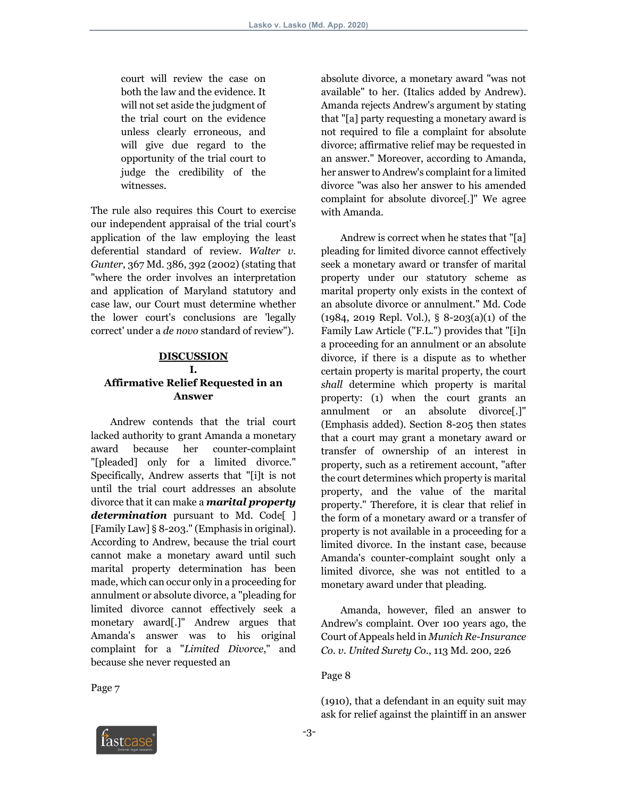court will review the case on both the law and the evidence. It will not set aside the judgment of the trial court on the evidence unless clearly erroneous, and will give due regard to the opportunity of the trial court to judge the credibility of the witnesses.

The rule also requires this Court to exercise our independent appraisal of the trial court's application of the law employing the least deferential standard of review. *Walter v*. *Gunter*, 367 Md. 386, 392 (2002) (stating that "where the order involves an interpretation and application of Maryland statutory and case law, our Court must determine whether the lower court's conclusions are 'legally correct' under a *de novo* standard of review").

### **DISCUSSION I. Affirmative Relief Requested in an Answer**

 Andrew contends that the trial court lacked authority to grant Amanda a monetary award because her counter-complaint "[pleaded] only for a limited divorce." Specifically, Andrew asserts that "[i]t is not until the trial court addresses an absolute divorce that it can make a *marital property determination* pursuant to Md. Code[ ] [Family Law] § 8-203." (Emphasis in original). According to Andrew, because the trial court cannot make a monetary award until such marital property determination has been made, which can occur only in a proceeding for annulment or absolute divorce, a "pleading for limited divorce cannot effectively seek a monetary award[.]" Andrew argues that Amanda's answer was to his original complaint for a "*Limited Divorce*," and because she never requested an

Page 7

absolute divorce, a monetary award "was not available" to her. (Italics added by Andrew). Amanda rejects Andrew's argument by stating that "[a] party requesting a monetary award is not required to file a complaint for absolute divorce; affirmative relief may be requested in an answer." Moreover, according to Amanda, her answer to Andrew's complaint for a limited divorce "was also her answer to his amended complaint for absolute divorce[.]" We agree with Amanda.

 Andrew is correct when he states that "[a] pleading for limited divorce cannot effectively seek a monetary award or transfer of marital property under our statutory scheme as marital property only exists in the context of an absolute divorce or annulment." Md. Code (1984, 2019 Repl. Vol.), § 8-203(a)(1) of the Family Law Article ("F.L.") provides that "[i]n a proceeding for an annulment or an absolute divorce, if there is a dispute as to whether certain property is marital property, the court *shall* determine which property is marital property: (1) when the court grants an annulment or an absolute divorce[.]" (Emphasis added). Section 8-205 then states that a court may grant a monetary award or transfer of ownership of an interest in property, such as a retirement account, "after the court determines which property is marital property, and the value of the marital property." Therefore, it is clear that relief in the form of a monetary award or a transfer of property is not available in a proceeding for a limited divorce. In the instant case, because Amanda's counter-complaint sought only a limited divorce, she was not entitled to a monetary award under that pleading.

 Amanda, however, filed an answer to Andrew's complaint. Over 100 years ago, the Court of Appeals held in *Munich Re-Insurance Co*. *v*. *United Surety Co*., 113 Md. 200, 226

Page 8

(1910), that a defendant in an equity suit may ask for relief against the plaintiff in an answer

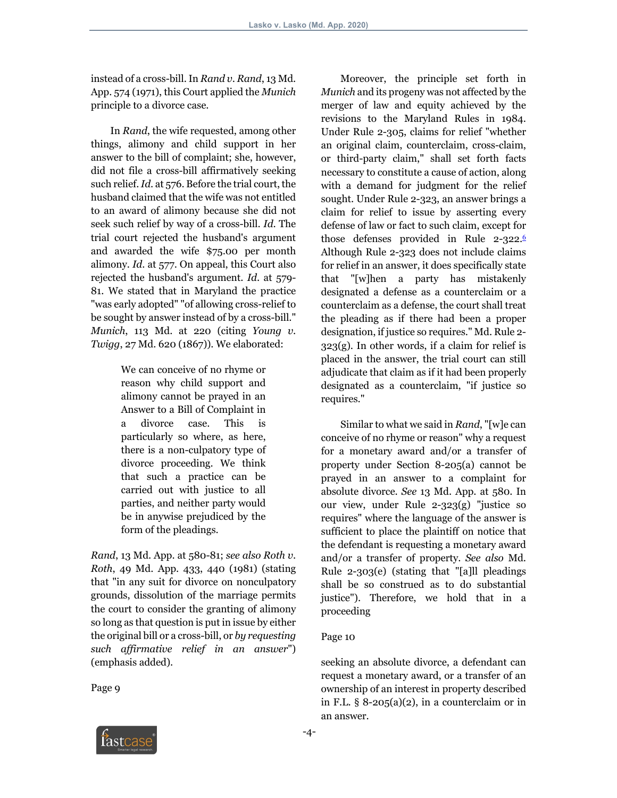instead of a cross-bill. In *Rand v*. *Rand*, 13 Md. App. 574 (1971), this Court applied the *Munich* principle to a divorce case.

 In *Rand*, the wife requested, among other things, alimony and child support in her answer to the bill of complaint; she, however, did not file a cross-bill affirmatively seeking such relief. *Id*. at 576. Before the trial court, the husband claimed that the wife was not entitled to an award of alimony because she did not seek such relief by way of a cross-bill. *Id*. The trial court rejected the husband's argument and awarded the wife \$75.00 per month alimony. *Id*. at 577. On appeal, this Court also rejected the husband's argument. *Id*. at 579- 81. We stated that in Maryland the practice "was early adopted" "of allowing cross-relief to be sought by answer instead of by a cross-bill." *Munich*, 113 Md. at 220 (citing *Young v*. *Twigg*, 27 Md. 620 (1867)). We elaborated:

> We can conceive of no rhyme or reason why child support and alimony cannot be prayed in an Answer to a Bill of Complaint in a divorce case. This is particularly so where, as here, there is a non-culpatory type of divorce proceeding. We think that such a practice can be carried out with justice to all parties, and neither party would be in anywise prejudiced by the form of the pleadings.

*Rand*, 13 Md. App. at 580-81; *see also Roth v*. *Roth*, 49 Md. App. 433, 440 (1981) (stating that "in any suit for divorce on nonculpatory grounds, dissolution of the marriage permits the court to consider the granting of alimony so long as that question is put in issue by either the original bill or a cross-bill, or *by requesting such affirmative relief in an answer*") (emphasis added).

Page 9

 Moreover, the principle set forth in *Munich* and its progeny was not affected by the merger of law and equity achieved by the revisions to the Maryland Rules in 1984. Under Rule 2-305, claims for relief "whether an original claim, counterclaim, cross-claim, or third-party claim," shall set forth facts necessary to constitute a cause of action, along with a demand for judgment for the relief sought. Under Rule 2-323, an answer brings a claim for relief to issue by asserting every defense of law or fact to such claim, except for those defenses provided in Rule 2-322.6 Although Rule 2-323 does not include claims for relief in an answer, it does specifically state that "[w]hen a party has mistakenly designated a defense as a counterclaim or a counterclaim as a defense, the court shall treat the pleading as if there had been a proper designation, if justice so requires." Md. Rule 2-  $323(g)$ . In other words, if a claim for relief is placed in the answer, the trial court can still adjudicate that claim as if it had been properly designated as a counterclaim, "if justice so requires."

 Similar to what we said in *Rand*, "[w]e can conceive of no rhyme or reason" why a request for a monetary award and/or a transfer of property under Section 8-205(a) cannot be prayed in an answer to a complaint for absolute divorce. *See* 13 Md. App. at 580. In our view, under Rule 2-323(g) "justice so requires" where the language of the answer is sufficient to place the plaintiff on notice that the defendant is requesting a monetary award and/or a transfer of property. *See also* Md. Rule 2-303(e) (stating that "[a]ll pleadings shall be so construed as to do substantial justice"). Therefore, we hold that in a proceeding

### Page 10

seeking an absolute divorce, a defendant can request a monetary award, or a transfer of an ownership of an interest in property described in F.L.  $\S$  8-205(a)(2), in a counterclaim or in an answer.

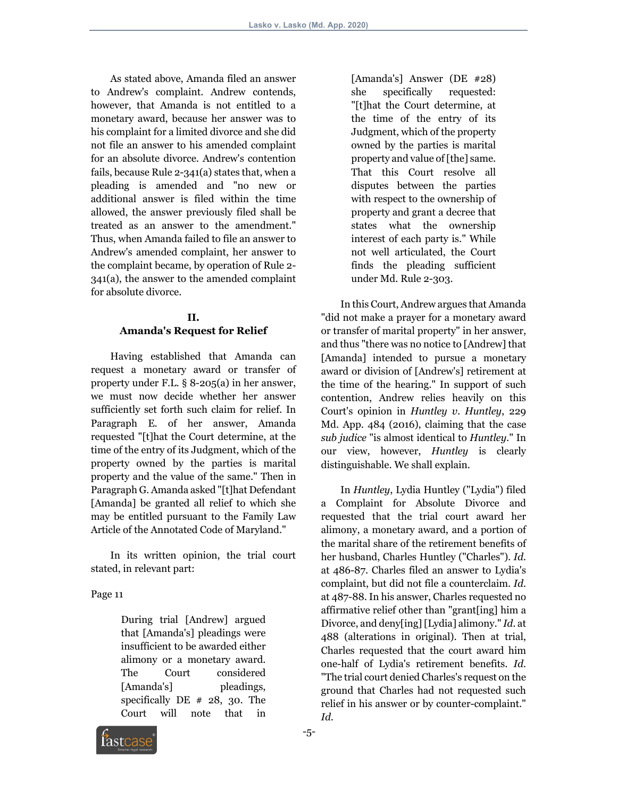As stated above, Amanda filed an answer to Andrew's complaint. Andrew contends, however, that Amanda is not entitled to a monetary award, because her answer was to his complaint for a limited divorce and she did not file an answer to his amended complaint for an absolute divorce. Andrew's contention fails, because Rule 2-341(a) states that, when a pleading is amended and "no new or additional answer is filed within the time allowed, the answer previously filed shall be treated as an answer to the amendment." Thus, when Amanda failed to file an answer to Andrew's amended complaint, her answer to the complaint became, by operation of Rule 2- 341(a), the answer to the amended complaint for absolute divorce.

### **II. Amanda's Request for Relief**

 Having established that Amanda can request a monetary award or transfer of property under F.L. § 8-205(a) in her answer, we must now decide whether her answer sufficiently set forth such claim for relief. In Paragraph E. of her answer, Amanda requested "[t]hat the Court determine, at the time of the entry of its Judgment, which of the property owned by the parties is marital property and the value of the same." Then in Paragraph G. Amanda asked "[t]hat Defendant [Amanda] be granted all relief to which she may be entitled pursuant to the Family Law Article of the Annotated Code of Maryland."

 In its written opinion, the trial court stated, in relevant part:

Page 11

During trial [Andrew] argued that [Amanda's] pleadings were insufficient to be awarded either alimony or a monetary award. The Court considered [Amanda's] pleadings, specifically DE # 28, 30. The Court will note that in [Amanda's] Answer (DE #28) she specifically requested: "[t]hat the Court determine, at the time of the entry of its Judgment, which of the property owned by the parties is marital property and value of [the] same. That this Court resolve all disputes between the parties with respect to the ownership of property and grant a decree that states what the ownership interest of each party is." While not well articulated, the Court finds the pleading sufficient under Md. Rule 2-303.

 In this Court, Andrew argues that Amanda "did not make a prayer for a monetary award or transfer of marital property" in her answer, and thus "there was no notice to [Andrew] that [Amanda] intended to pursue a monetary award or division of [Andrew's] retirement at the time of the hearing." In support of such contention, Andrew relies heavily on this Court's opinion in *Huntley v*. *Huntley*, 229 Md. App. 484 (2016), claiming that the case *sub judice* "is almost identical to *Huntley*." In our view, however, *Huntley* is clearly distinguishable. We shall explain.

 In *Huntley*, Lydia Huntley ("Lydia") filed a Complaint for Absolute Divorce and requested that the trial court award her alimony, a monetary award, and a portion of the marital share of the retirement benefits of her husband, Charles Huntley ("Charles"). *Id*. at 486-87. Charles filed an answer to Lydia's complaint, but did not file a counterclaim. *Id*. at 487-88. In his answer, Charles requested no affirmative relief other than "grant[ing] him a Divorce, and deny[ing] [Lydia] alimony." *Id*. at 488 (alterations in original). Then at trial, Charles requested that the court award him one-half of Lydia's retirement benefits. *Id*. "The trial court denied Charles's request on the ground that Charles had not requested such relief in his answer or by counter-complaint." *Id*.

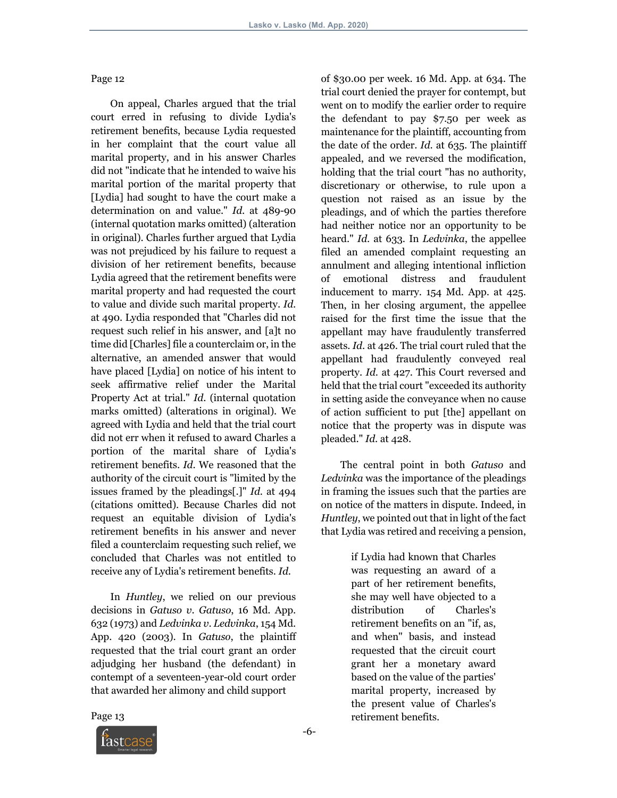Page 12

 On appeal, Charles argued that the trial court erred in refusing to divide Lydia's retirement benefits, because Lydia requested in her complaint that the court value all marital property, and in his answer Charles did not "indicate that he intended to waive his marital portion of the marital property that [Lydia] had sought to have the court make a determination on and value." *Id*. at 489-90 (internal quotation marks omitted) (alteration in original). Charles further argued that Lydia was not prejudiced by his failure to request a division of her retirement benefits, because Lydia agreed that the retirement benefits were marital property and had requested the court to value and divide such marital property. *Id*. at 490. Lydia responded that "Charles did not request such relief in his answer, and [a]t no time did [Charles] file a counterclaim or, in the alternative, an amended answer that would have placed [Lydia] on notice of his intent to seek affirmative relief under the Marital Property Act at trial." *Id*. (internal quotation marks omitted) (alterations in original). We agreed with Lydia and held that the trial court did not err when it refused to award Charles a portion of the marital share of Lydia's retirement benefits. *Id*. We reasoned that the authority of the circuit court is "limited by the issues framed by the pleadings[.]" *Id*. at 494 (citations omitted). Because Charles did not request an equitable division of Lydia's retirement benefits in his answer and never filed a counterclaim requesting such relief, we concluded that Charles was not entitled to receive any of Lydia's retirement benefits. *Id*.

 In *Huntley*, we relied on our previous decisions in *Gatuso v*. *Gatuso*, 16 Md. App. 632 (1973) and *Ledvinka v*. *Ledvinka*, 154 Md. App. 420 (2003). In *Gatuso*, the plaintiff requested that the trial court grant an order adjudging her husband (the defendant) in contempt of a seventeen-year-old court order that awarded her alimony and child support

of \$30.00 per week. 16 Md. App. at 634. The trial court denied the prayer for contempt, but went on to modify the earlier order to require the defendant to pay \$7.50 per week as maintenance for the plaintiff, accounting from the date of the order. *Id*. at 635. The plaintiff appealed, and we reversed the modification, holding that the trial court "has no authority, discretionary or otherwise, to rule upon a question not raised as an issue by the pleadings, and of which the parties therefore had neither notice nor an opportunity to be heard." *Id*. at 633. In *Ledvinka*, the appellee filed an amended complaint requesting an annulment and alleging intentional infliction of emotional distress and fraudulent inducement to marry. 154 Md. App. at 425. Then, in her closing argument, the appellee raised for the first time the issue that the appellant may have fraudulently transferred assets. *Id*. at 426. The trial court ruled that the appellant had fraudulently conveyed real property. *Id*. at 427. This Court reversed and held that the trial court "exceeded its authority in setting aside the conveyance when no cause of action sufficient to put [the] appellant on notice that the property was in dispute was pleaded." *Id*. at 428.

 The central point in both *Gatuso* and *Ledvinka* was the importance of the pleadings in framing the issues such that the parties are on notice of the matters in dispute. Indeed, in *Huntley*, we pointed out that in light of the fact that Lydia was retired and receiving a pension,

> if Lydia had known that Charles was requesting an award of a part of her retirement benefits, she may well have objected to a distribution of Charles's retirement benefits on an "if, as, and when" basis, and instead requested that the circuit court grant her a monetary award based on the value of the parties' marital property, increased by the present value of Charles's retirement benefits.

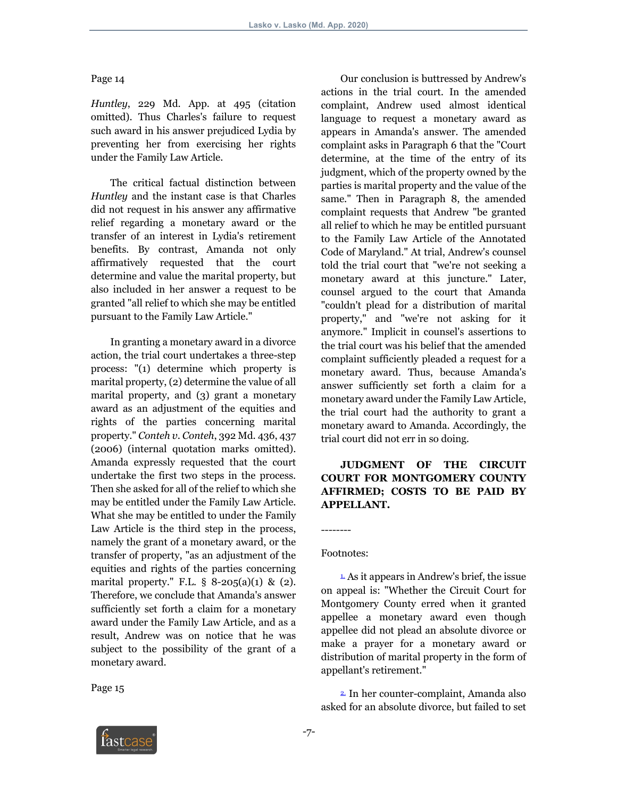### Page 14

*Huntley*, 229 Md. App. at 495 (citation omitted). Thus Charles's failure to request such award in his answer prejudiced Lydia by preventing her from exercising her rights under the Family Law Article.

 The critical factual distinction between *Huntley* and the instant case is that Charles did not request in his answer any affirmative relief regarding a monetary award or the transfer of an interest in Lydia's retirement benefits. By contrast, Amanda not only affirmatively requested that the court determine and value the marital property, but also included in her answer a request to be granted "all relief to which she may be entitled pursuant to the Family Law Article."

 In granting a monetary award in a divorce action, the trial court undertakes a three-step process: "(1) determine which property is marital property, (2) determine the value of all marital property, and (3) grant a monetary award as an adjustment of the equities and rights of the parties concerning marital property." *Conteh v*. *Conteh*, 392 Md. 436, 437 (2006) (internal quotation marks omitted). Amanda expressly requested that the court undertake the first two steps in the process. Then she asked for all of the relief to which she may be entitled under the Family Law Article. What she may be entitled to under the Family Law Article is the third step in the process, namely the grant of a monetary award, or the transfer of property, "as an adjustment of the equities and rights of the parties concerning marital property." F.L.  $\S$  8-205(a)(1) & (2). Therefore, we conclude that Amanda's answer sufficiently set forth a claim for a monetary award under the Family Law Article, and as a result, Andrew was on notice that he was subject to the possibility of the grant of a monetary award.

Page 15

 Our conclusion is buttressed by Andrew's actions in the trial court. In the amended complaint, Andrew used almost identical language to request a monetary award as appears in Amanda's answer. The amended complaint asks in Paragraph 6 that the "Court determine, at the time of the entry of its judgment, which of the property owned by the parties is marital property and the value of the same." Then in Paragraph 8, the amended complaint requests that Andrew "be granted all relief to which he may be entitled pursuant to the Family Law Article of the Annotated Code of Maryland." At trial, Andrew's counsel told the trial court that "we're not seeking a monetary award at this juncture." Later, counsel argued to the court that Amanda "couldn't plead for a distribution of marital property," and "we're not asking for it anymore." Implicit in counsel's assertions to the trial court was his belief that the amended complaint sufficiently pleaded a request for a monetary award. Thus, because Amanda's answer sufficiently set forth a claim for a monetary award under the Family Law Article, the trial court had the authority to grant a monetary award to Amanda. Accordingly, the trial court did not err in so doing.

# **JUDGMENT OF THE CIRCUIT COURT FOR MONTGOMERY COUNTY AFFIRMED; COSTS TO BE PAID BY APPELLANT.**

#### Footnotes:

--------

 $\frac{1}{2}$  As it appears in Andrew's brief, the issue on appeal is: "Whether the Circuit Court for Montgomery County erred when it granted appellee a monetary award even though appellee did not plead an absolute divorce or make a prayer for a monetary award or distribution of marital property in the form of appellant's retirement."

 2. In her counter-complaint, Amanda also asked for an absolute divorce, but failed to set